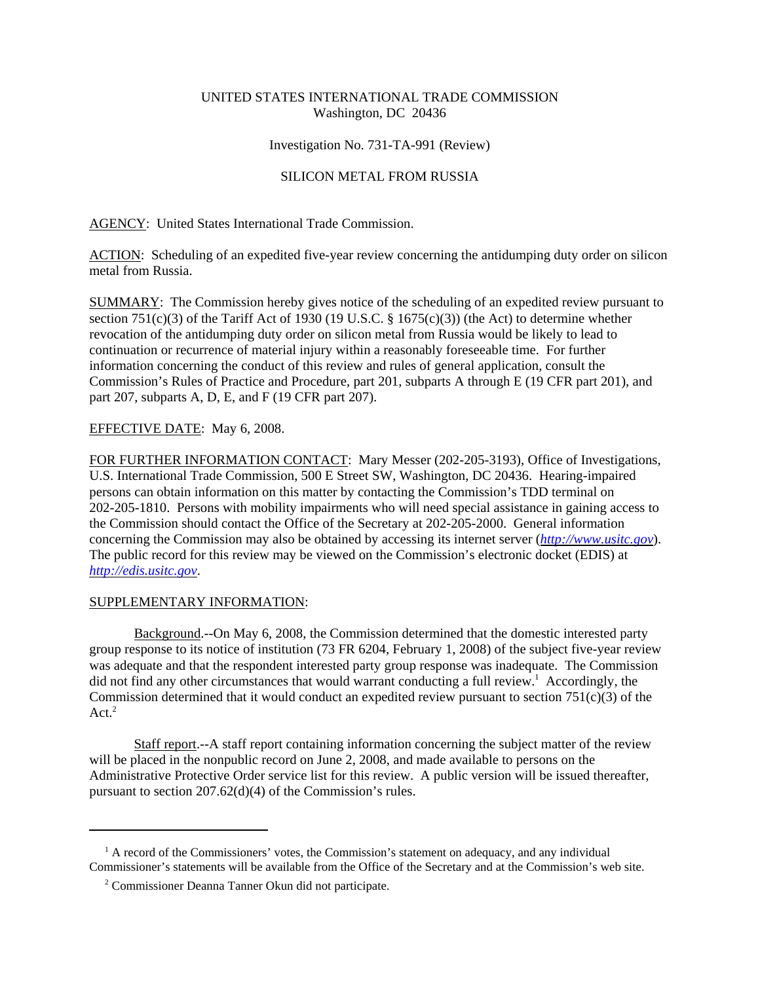# UNITED STATES INTERNATIONAL TRADE COMMISSION Washington, DC 20436

### Investigation No. 731-TA-991 (Review)

## SILICON METAL FROM RUSSIA

AGENCY: United States International Trade Commission.

ACTION: Scheduling of an expedited five-year review concerning the antidumping duty order on silicon metal from Russia.

SUMMARY: The Commission hereby gives notice of the scheduling of an expedited review pursuant to section 751(c)(3) of the Tariff Act of 1930 (19 U.S.C. § 1675(c)(3)) (the Act) to determine whether revocation of the antidumping duty order on silicon metal from Russia would be likely to lead to continuation or recurrence of material injury within a reasonably foreseeable time. For further information concerning the conduct of this review and rules of general application, consult the Commission's Rules of Practice and Procedure, part 201, subparts A through E (19 CFR part 201), and part 207, subparts A, D, E, and F (19 CFR part 207).

## EFFECTIVE DATE: May 6, 2008.

FOR FURTHER INFORMATION CONTACT: Mary Messer (202-205-3193), Office of Investigations, U.S. International Trade Commission, 500 E Street SW, Washington, DC 20436. Hearing-impaired persons can obtain information on this matter by contacting the Commission's TDD terminal on 202-205-1810. Persons with mobility impairments who will need special assistance in gaining access to the Commission should contact the Office of the Secretary at 202-205-2000. General information concerning the Commission may also be obtained by accessing its internet server (*http://www.usitc.gov*). The public record for this review may be viewed on the Commission's electronic docket (EDIS) at *http://edis.usitc.gov*.

### SUPPLEMENTARY INFORMATION:

Background.--On May 6, 2008, the Commission determined that the domestic interested party group response to its notice of institution (73 FR 6204, February 1, 2008) of the subject five-year review was adequate and that the respondent interested party group response was inadequate. The Commission did not find any other circumstances that would warrant conducting a full review.<sup>1</sup> Accordingly, the Commission determined that it would conduct an expedited review pursuant to section  $751(c)(3)$  of the  $Act.<sup>2</sup>$ 

Staff report.--A staff report containing information concerning the subject matter of the review will be placed in the nonpublic record on June 2, 2008, and made available to persons on the Administrative Protective Order service list for this review. A public version will be issued thereafter, pursuant to section 207.62(d)(4) of the Commission's rules.

<sup>&</sup>lt;sup>1</sup> A record of the Commissioners' votes, the Commission's statement on adequacy, and any individual Commissioner's statements will be available from the Office of the Secretary and at the Commission's web site.

<sup>&</sup>lt;sup>2</sup> Commissioner Deanna Tanner Okun did not participate.